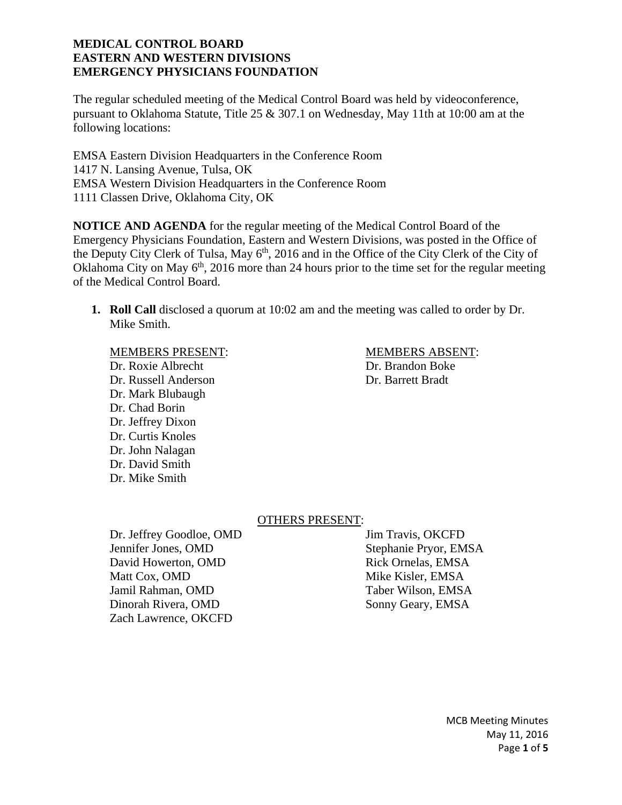The regular scheduled meeting of the Medical Control Board was held by videoconference, pursuant to Oklahoma Statute, Title 25 & 307.1 on Wednesday, May 11th at 10:00 am at the following locations:

EMSA Eastern Division Headquarters in the Conference Room 1417 N. Lansing Avenue, Tulsa, OK EMSA Western Division Headquarters in the Conference Room 1111 Classen Drive, Oklahoma City, OK

**NOTICE AND AGENDA** for the regular meeting of the Medical Control Board of the Emergency Physicians Foundation, Eastern and Western Divisions, was posted in the Office of the Deputy City Clerk of Tulsa, May 6<sup>th</sup>, 2016 and in the Office of the City Clerk of the City of Oklahoma City on May  $6<sup>th</sup>$ , 2016 more than 24 hours prior to the time set for the regular meeting of the Medical Control Board.

**1. Roll Call** disclosed a quorum at 10:02 am and the meeting was called to order by Dr. Mike Smith.

Dr. Roxie Albrecht Dr. Brandon Boke Dr. Russell Anderson Dr. Barrett Bradt Dr. Mark Blubaugh Dr. Chad Borin Dr. Jeffrey Dixon Dr. Curtis Knoles Dr. John Nalagan Dr. David Smith Dr. Mike Smith

MEMBERS PRESENT: MEMBERS ABSENT:

### OTHERS PRESENT:

Dr. Jeffrey Goodloe, OMD Jim Travis, OKCFD Jennifer Jones, OMD Stephanie Pryor, EMSA David Howerton, OMD Rick Ornelas, EMSA Matt Cox, OMD Mike Kisler, EMSA Jamil Rahman, OMD Taber Wilson, EMSA Dinorah Rivera, OMD Sonny Geary, EMSA Zach Lawrence, OKCFD

MCB Meeting Minutes May 11, 2016 Page **1** of **5**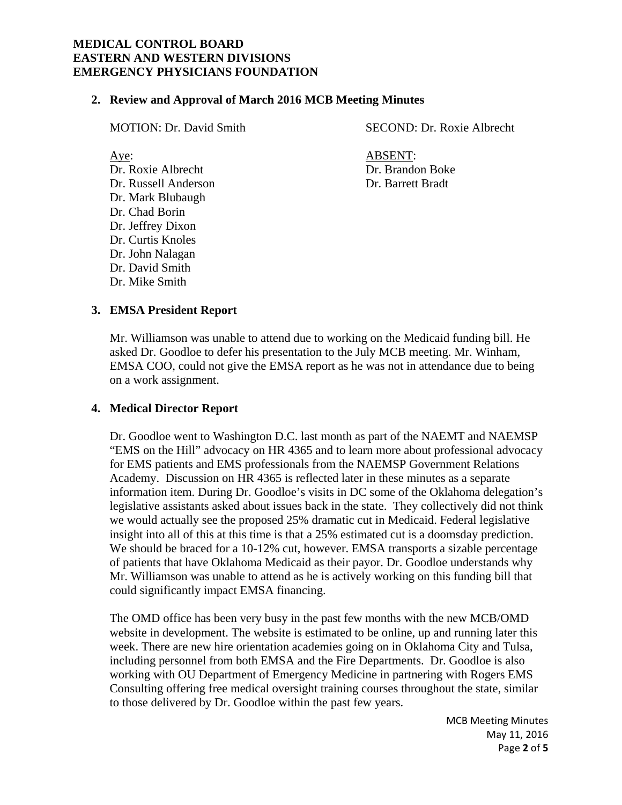#### **2. Review and Approval of March 2016 MCB Meeting Minutes**

Dr. Roxie Albrecht Dr. Brandon Boke Dr. Russell Anderson Dr. Barrett Bradt Dr. Mark Blubaugh Dr. Chad Borin Dr. Jeffrey Dixon Dr. Curtis Knoles Dr. John Nalagan Dr. David Smith Dr. Mike Smith

MOTION: Dr. David Smith SECOND: Dr. Roxie Albrecht

Aye: ABSENT:

## **3. EMSA President Report**

Mr. Williamson was unable to attend due to working on the Medicaid funding bill. He asked Dr. Goodloe to defer his presentation to the July MCB meeting. Mr. Winham, EMSA COO, could not give the EMSA report as he was not in attendance due to being on a work assignment.

### **4. Medical Director Report**

Dr. Goodloe went to Washington D.C. last month as part of the NAEMT and NAEMSP "EMS on the Hill" advocacy on HR 4365 and to learn more about professional advocacy for EMS patients and EMS professionals from the NAEMSP Government Relations Academy. Discussion on HR 4365 is reflected later in these minutes as a separate information item. During Dr. Goodloe's visits in DC some of the Oklahoma delegation's legislative assistants asked about issues back in the state. They collectively did not think we would actually see the proposed 25% dramatic cut in Medicaid. Federal legislative insight into all of this at this time is that a 25% estimated cut is a doomsday prediction. We should be braced for a 10-12% cut, however. EMSA transports a sizable percentage of patients that have Oklahoma Medicaid as their payor. Dr. Goodloe understands why Mr. Williamson was unable to attend as he is actively working on this funding bill that could significantly impact EMSA financing.

The OMD office has been very busy in the past few months with the new MCB/OMD website in development. The website is estimated to be online, up and running later this week. There are new hire orientation academies going on in Oklahoma City and Tulsa, including personnel from both EMSA and the Fire Departments. Dr. Goodloe is also working with OU Department of Emergency Medicine in partnering with Rogers EMS Consulting offering free medical oversight training courses throughout the state, similar to those delivered by Dr. Goodloe within the past few years.

> MCB Meeting Minutes May 11, 2016 Page **2** of **5**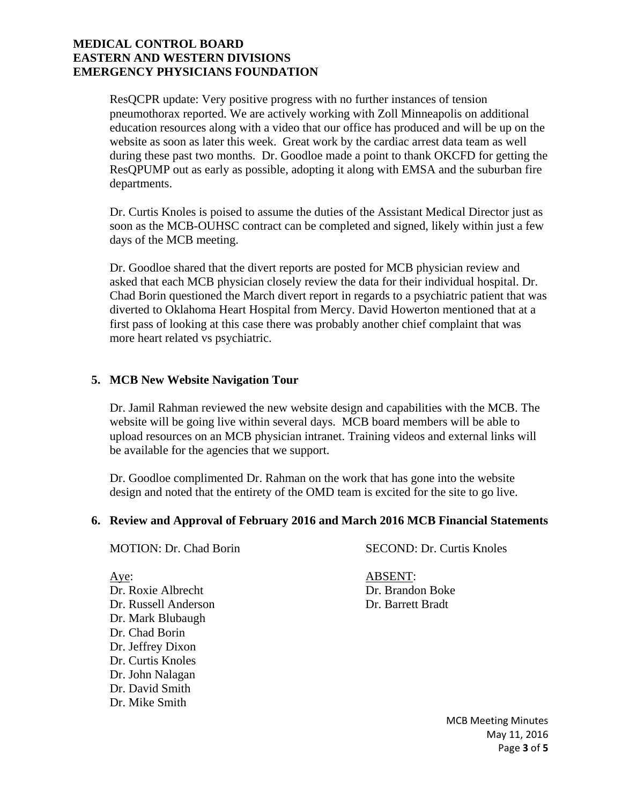ResQCPR update: Very positive progress with no further instances of tension pneumothorax reported. We are actively working with Zoll Minneapolis on additional education resources along with a video that our office has produced and will be up on the website as soon as later this week. Great work by the cardiac arrest data team as well during these past two months. Dr. Goodloe made a point to thank OKCFD for getting the ResQPUMP out as early as possible, adopting it along with EMSA and the suburban fire departments.

Dr. Curtis Knoles is poised to assume the duties of the Assistant Medical Director just as soon as the MCB-OUHSC contract can be completed and signed, likely within just a few days of the MCB meeting.

Dr. Goodloe shared that the divert reports are posted for MCB physician review and asked that each MCB physician closely review the data for their individual hospital. Dr. Chad Borin questioned the March divert report in regards to a psychiatric patient that was diverted to Oklahoma Heart Hospital from Mercy. David Howerton mentioned that at a first pass of looking at this case there was probably another chief complaint that was more heart related vs psychiatric.

# **5. MCB New Website Navigation Tour**

Dr. Jamil Rahman reviewed the new website design and capabilities with the MCB. The website will be going live within several days. MCB board members will be able to upload resources on an MCB physician intranet. Training videos and external links will be available for the agencies that we support.

Dr. Goodloe complimented Dr. Rahman on the work that has gone into the website design and noted that the entirety of the OMD team is excited for the site to go live.

### **6. Review and Approval of February 2016 and March 2016 MCB Financial Statements**

MOTION: Dr. Chad Borin SECOND: Dr. Curtis Knoles

Dr. Roxie Albrecht Dr. Brandon Boke Dr. Russell Anderson Dr. Barrett Bradt Dr. Mark Blubaugh Dr. Chad Borin Dr. Jeffrey Dixon Dr. Curtis Knoles Dr. John Nalagan Dr. David Smith Dr. Mike Smith

Aye: ABSENT:

MCB Meeting Minutes May 11, 2016 Page **3** of **5**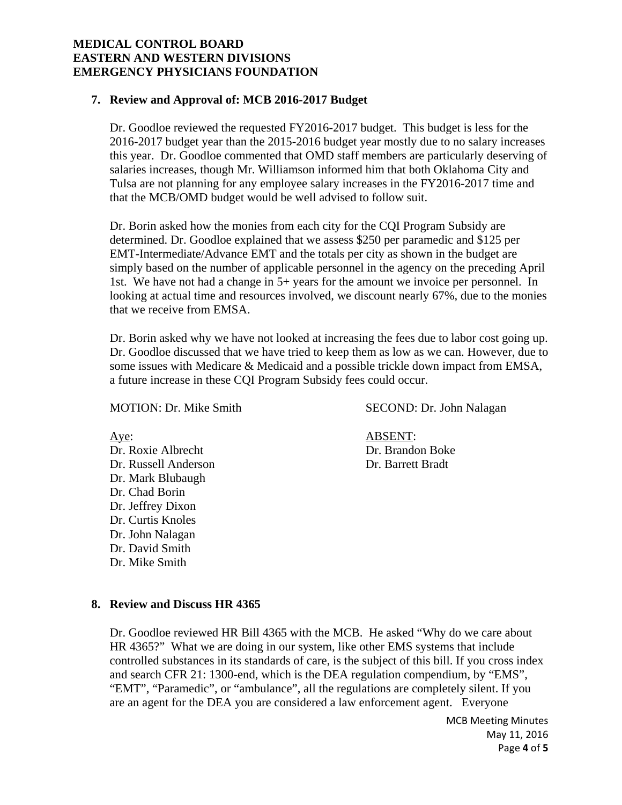#### **7. Review and Approval of: MCB 2016-2017 Budget**

Dr. Goodloe reviewed the requested FY2016-2017 budget. This budget is less for the 2016-2017 budget year than the 2015-2016 budget year mostly due to no salary increases this year. Dr. Goodloe commented that OMD staff members are particularly deserving of salaries increases, though Mr. Williamson informed him that both Oklahoma City and Tulsa are not planning for any employee salary increases in the FY2016-2017 time and that the MCB/OMD budget would be well advised to follow suit.

Dr. Borin asked how the monies from each city for the CQI Program Subsidy are determined. Dr. Goodloe explained that we assess \$250 per paramedic and \$125 per EMT-Intermediate/Advance EMT and the totals per city as shown in the budget are simply based on the number of applicable personnel in the agency on the preceding April 1st. We have not had a change in 5+ years for the amount we invoice per personnel. In looking at actual time and resources involved, we discount nearly 67%, due to the monies that we receive from EMSA.

Dr. Borin asked why we have not looked at increasing the fees due to labor cost going up. Dr. Goodloe discussed that we have tried to keep them as low as we can. However, due to some issues with Medicare & Medicaid and a possible trickle down impact from EMSA, a future increase in these CQI Program Subsidy fees could occur.

Dr. Roxie Albrecht Dr. Brandon Boke Dr. Russell Anderson Dr. Barrett Bradt Dr. Mark Blubaugh Dr. Chad Borin Dr. Jeffrey Dixon Dr. Curtis Knoles Dr. John Nalagan Dr. David Smith Dr. Mike Smith

MOTION: Dr. Mike Smith SECOND: Dr. John Nalagan

Aye: ABSENT:

#### **8. Review and Discuss HR 4365**

Dr. Goodloe reviewed HR Bill 4365 with the MCB. He asked "Why do we care about HR 4365?" What we are doing in our system, like other EMS systems that include controlled substances in its standards of care, is the subject of this bill. If you cross index and search CFR 21: 1300-end, which is the DEA regulation compendium, by "EMS", "EMT", "Paramedic", or "ambulance", all the regulations are completely silent. If you are an agent for the DEA you are considered a law enforcement agent. Everyone

> MCB Meeting Minutes May 11, 2016 Page **4** of **5**